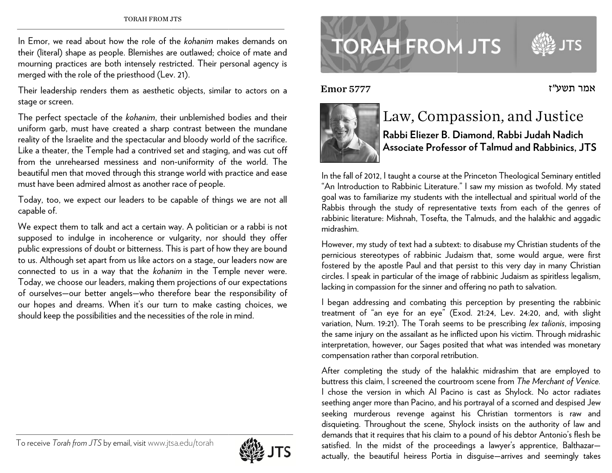In Emor, we read about how the role of the kohanim makes demands on their (literal) shape as people. Blemishes are outlawed; choice of mate and mourning practices are both intensely restricted. Their personal agency is merged with the role of the priesthood (Lev. 21).

Their leadership renders them as aesthetic objects, similar to actors on a stage or screen.

The perfect spectacle of the kohanim, their unblemished bodies and their uniform garb, must have created a sharp contrast between the mundane reality of the Israelite and the spectacular and bloody world of the sacrifice. Like a theater, the Temple had a contrived set and staging, and was cut off from the unrehearsed messiness and non-uniformity of the world. The beautiful men that moved through this strange world with practice and ease must have been admired almost as another race of people.

Today, too, we expect our leaders to be capable of things we are not all capable of.

We expect them to talk and act a certain way. A politician or a rabbi is not supposed to indulge in incoherence or vulgarity, nor should they offer public expressions of doubt or bitterness. This is part of how they are bound to us. Although set apart from us like actors on a stage, our leaders now are connected to us in a way that the kohanim in the Temple never were. Today, we choose our leaders, making them projections of our expectations of ourselves-our better angels-who therefore bear the responsibility of our hopes and dreams. When it's our turn to make casting choices, we should keep the possibilities and the necessities of the role in mind.

## **TORAH FROM JTS**

**Emor 5777** 



## Law, Compassion, and Justice Rabbi Eliezer B. Diamond, Rabbi Judah Nadich Associate Professor of Talmud and Rabbinics, JTS

In the fall of 2012, I taught a course at the Princeton Theological Seminary entitled "An Introduction to Rabbinic Literature." I saw my mission as twofold. My stated goal was to familiarize my students with the intellectual and spiritual world of the Rabbis through the study of representative texts from each of the genres of rabbinic literature: Mishnah, Tosefta, the Talmuds, and the halakhic and aggadic midrashim

However, my study of text had a subtext: to disabuse my Christian students of the pernicious stereotypes of rabbinic Judaism that, some would arque, were first fostered by the apostle Paul and that persist to this very day in many Christian circles. I speak in particular of the image of rabbinic Judaism as spiritless legalism, lacking in compassion for the sinner and offering no path to salvation.

I began addressing and combating this perception by presenting the rabbinic treatment of "an eye for an eye" (Exod. 21:24, Lev. 24:20, and, with slight variation, Num. 19:21). The Torah seems to be prescribing lex talionis, imposing the same injury on the assailant as he inflicted upon his victim. Through midrashic interpretation, however, our Sages posited that what was intended was monetary compensation rather than corporal retribution.

After completing the study of the halakhic midrashim that are employed to buttress this claim, I screened the courtroom scene from The Merchant of Venice. I chose the version in which AI Pacino is cast as Shylock. No actor radiates seething anger more than Pacino, and his portrayal of a scorned and despised Jew seeking murderous revenge against his Christian tormentors is raw and disquieting. Throughout the scene, Shylock insists on the authority of law and demands that it requires that his claim to a pound of his debtor Antonio's flesh be satisfied. In the midst of the proceedings a lawyer's apprentice, Balthazaractually, the beautiful heiress Portia in disquise-arrives and seemingly takes